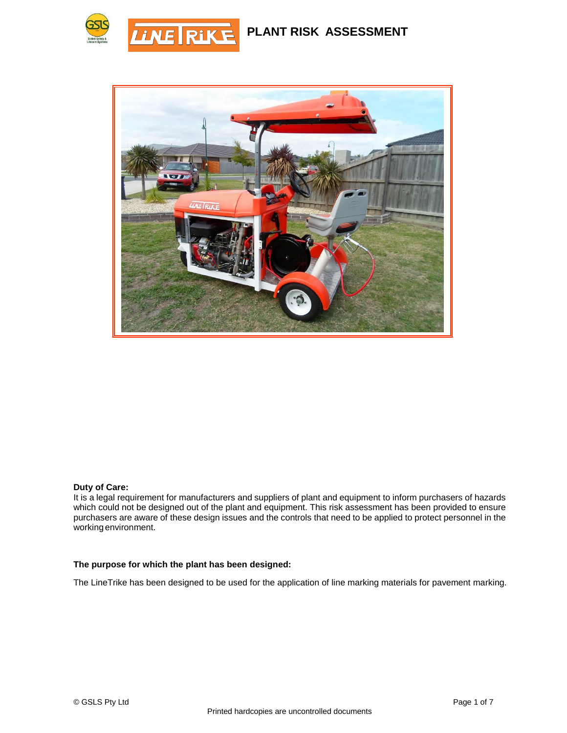**PLANT RISK ASSESSMENT**





#### **Duty of Care:**

It is a legal requirement for manufacturers and suppliers of plant and equipment to inform purchasers of hazards which could not be designed out of the plant and equipment. This risk assessment has been provided to ensure purchasers are aware of these design issues and the controls that need to be applied to protect personnel in the working environment.

#### **The purpose for which the plant has been designed:**

The LineTrike has been designed to be used for the application of line marking materials for pavement marking.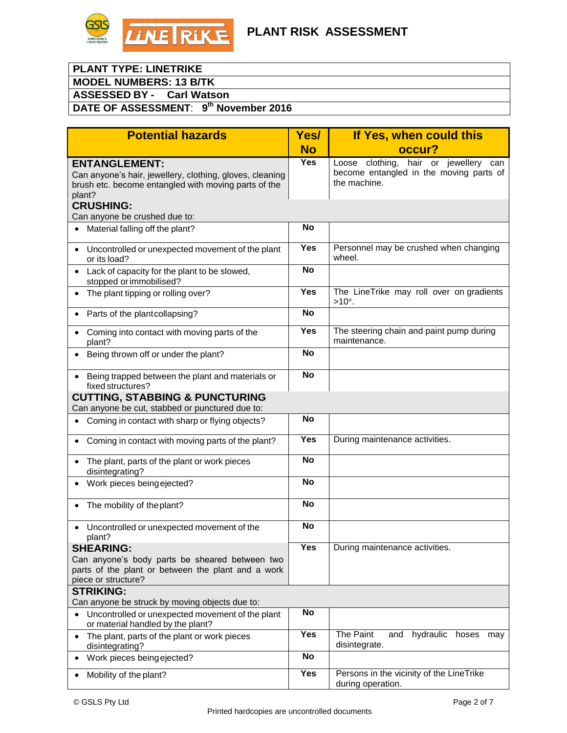

### **PLANT TYPE: LINETRIKE**

**MODEL NUMBERS: 13 B/TK**

**ASSESSED BY - Carl Watson**

### **DATE OF ASSESSMENT**: **9 th November 2016**

| <b>Potential hazards</b>                                                                                                                           |            | If Yes, when could this                                                                             |  |
|----------------------------------------------------------------------------------------------------------------------------------------------------|------------|-----------------------------------------------------------------------------------------------------|--|
|                                                                                                                                                    | <b>No</b>  | occur?                                                                                              |  |
| <b>ENTANGLEMENT:</b><br>Can anyone's hair, jewellery, clothing, gloves, cleaning<br>brush etc. become entangled with moving parts of the<br>plant? | <b>Yes</b> | Loose clothing, hair or jewellery<br>can<br>become entangled in the moving parts of<br>the machine. |  |
| <b>CRUSHING:</b><br>Can anyone be crushed due to:                                                                                                  |            |                                                                                                     |  |
| Material falling off the plant?                                                                                                                    | <b>No</b>  |                                                                                                     |  |
| Uncontrolled or unexpected movement of the plant<br>$\bullet$<br>or its load?                                                                      | <b>Yes</b> | Personnel may be crushed when changing<br>wheel.                                                    |  |
| Lack of capacity for the plant to be slowed,<br>$\bullet$<br>stopped or immobilised?                                                               | <b>No</b>  |                                                                                                     |  |
| The plant tipping or rolling over?<br>$\bullet$                                                                                                    | <b>Yes</b> | The LineTrike may roll over on gradients<br>$>10^\circ$ .                                           |  |
| Parts of the plantcollapsing?<br>$\bullet$                                                                                                         | <b>No</b>  |                                                                                                     |  |
| Coming into contact with moving parts of the<br>$\bullet$<br>plant?                                                                                | <b>Yes</b> | The steering chain and paint pump during<br>maintenance.                                            |  |
| Being thrown off or under the plant?<br>$\bullet$                                                                                                  | <b>No</b>  |                                                                                                     |  |
| Being trapped between the plant and materials or<br>$\bullet$<br>fixed structures?                                                                 | <b>No</b>  |                                                                                                     |  |
| <b>CUTTING, STABBING &amp; PUNCTURING</b><br>Can anyone be cut, stabbed or punctured due to:                                                       |            |                                                                                                     |  |
| Coming in contact with sharp or flying objects?<br>$\bullet$                                                                                       | No         |                                                                                                     |  |
|                                                                                                                                                    |            |                                                                                                     |  |
| Coming in contact with moving parts of the plant?<br>$\bullet$                                                                                     | Yes        | During maintenance activities.                                                                      |  |
| The plant, parts of the plant or work pieces<br>$\bullet$<br>disintegrating?                                                                       | <b>No</b>  |                                                                                                     |  |
| Work pieces being ejected?<br>$\bullet$                                                                                                            | <b>No</b>  |                                                                                                     |  |
| The mobility of the plant?<br>$\bullet$                                                                                                            | <b>No</b>  |                                                                                                     |  |
| Uncontrolled or unexpected movement of the<br>plant?                                                                                               | <b>No</b>  |                                                                                                     |  |
| <b>SHEARING:</b>                                                                                                                                   | Yes        | During maintenance activities.                                                                      |  |
| Can anyone's body parts be sheared between two<br>parts of the plant or between the plant and a work<br>piece or structure?                        |            |                                                                                                     |  |
| <b>STRIKING:</b><br>Can anyone be struck by moving objects due to:                                                                                 |            |                                                                                                     |  |
| Uncontrolled or unexpected movement of the plant<br>$\bullet$<br>or material handled by the plant?                                                 | No         |                                                                                                     |  |
| The plant, parts of the plant or work pieces<br>$\bullet$<br>disintegrating?                                                                       | Yes        | The Paint<br>and hydraulic<br>hoses<br>may<br>disintegrate.                                         |  |
| Work pieces being ejected?<br>٠                                                                                                                    | <b>No</b>  |                                                                                                     |  |
| Mobility of the plant?<br>٠                                                                                                                        | <b>Yes</b> | Persons in the vicinity of the LineTrike<br>during operation.                                       |  |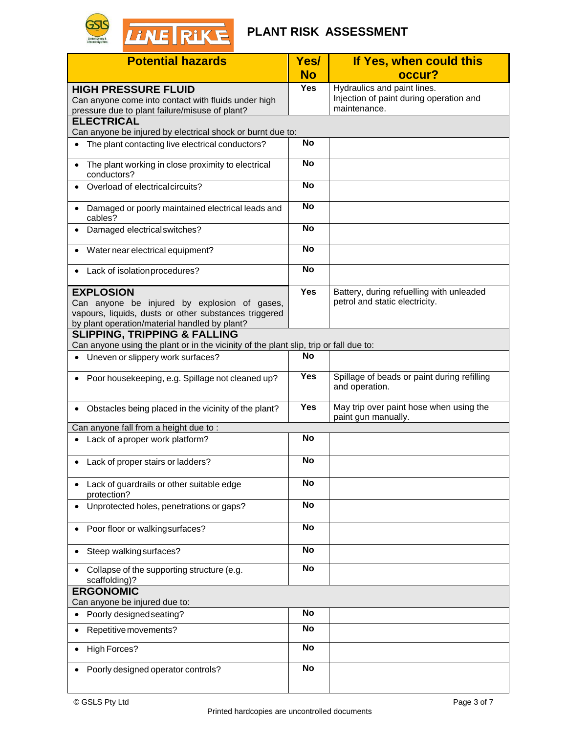# **FLANT RISK ASSESSMENT**

| <b>Potential hazards</b>                                                                                                                                                   |            | If Yes, when could this                                                                |
|----------------------------------------------------------------------------------------------------------------------------------------------------------------------------|------------|----------------------------------------------------------------------------------------|
|                                                                                                                                                                            | <b>No</b>  | occur?                                                                                 |
| <b>HIGH PRESSURE FLUID</b><br>Can anyone come into contact with fluids under high<br>pressure due to plant failure/misuse of plant?                                        | <b>Yes</b> | Hydraulics and paint lines.<br>Injection of paint during operation and<br>maintenance. |
| <b>ELECTRICAL</b><br>Can anyone be injured by electrical shock or burnt due to:                                                                                            |            |                                                                                        |
| The plant contacting live electrical conductors?                                                                                                                           | <b>No</b>  |                                                                                        |
| The plant working in close proximity to electrical<br>$\bullet$<br>conductors?                                                                                             | <b>No</b>  |                                                                                        |
| Overload of electrical circuits?<br>$\bullet$                                                                                                                              | <b>No</b>  |                                                                                        |
| Damaged or poorly maintained electrical leads and<br>$\bullet$<br>cables?                                                                                                  | <b>No</b>  |                                                                                        |
| Damaged electrical switches?<br>$\bullet$                                                                                                                                  | <b>No</b>  |                                                                                        |
| Water near electrical equipment?<br>$\bullet$                                                                                                                              | <b>No</b>  |                                                                                        |
| Lack of isolation procedures?<br>٠                                                                                                                                         | <b>No</b>  |                                                                                        |
| <b>EXPLOSION</b><br>Can anyone be injured by explosion of gases,<br>vapours, liquids, dusts or other substances triggered<br>by plant operation/material handled by plant? | <b>Yes</b> | Battery, during refuelling with unleaded<br>petrol and static electricity.             |
| <b>SLIPPING, TRIPPING &amp; FALLING</b><br>Can anyone using the plant or in the vicinity of the plant slip, trip or fall due to:                                           |            |                                                                                        |
| Uneven or slippery work surfaces?<br>$\bullet$                                                                                                                             | <b>No</b>  |                                                                                        |
| Poor housekeeping, e.g. Spillage not cleaned up?<br>$\bullet$                                                                                                              | <b>Yes</b> | Spillage of beads or paint during refilling<br>and operation.                          |
| Obstacles being placed in the vicinity of the plant?<br>$\bullet$                                                                                                          | <b>Yes</b> | May trip over paint hose when using the<br>paint gun manually.                         |
| Can anyone fall from a height due to:                                                                                                                                      |            |                                                                                        |
| Lack of aproper work platform?<br>$\bullet$                                                                                                                                | <b>No</b>  |                                                                                        |
| • Lack of proper stairs or ladders?                                                                                                                                        | <b>No</b>  |                                                                                        |
| Lack of guardrails or other suitable edge<br>protection?                                                                                                                   | <b>No</b>  |                                                                                        |
| Unprotected holes, penetrations or gaps?                                                                                                                                   | <b>No</b>  |                                                                                        |
| Poor floor or walkingsurfaces?                                                                                                                                             | <b>No</b>  |                                                                                        |
| Steep walking surfaces?                                                                                                                                                    | <b>No</b>  |                                                                                        |
| Collapse of the supporting structure (e.g.<br>$\bullet$<br>scaffolding)?                                                                                                   | <b>No</b>  |                                                                                        |
| <b>ERGONOMIC</b><br>Can anyone be injured due to:                                                                                                                          |            |                                                                                        |
| Poorly designed seating?<br>$\bullet$                                                                                                                                      | <b>No</b>  |                                                                                        |
| Repetitive movements?<br>$\bullet$                                                                                                                                         | <b>No</b>  |                                                                                        |
| <b>High Forces?</b><br>$\bullet$                                                                                                                                           | <b>No</b>  |                                                                                        |
| Poorly designed operator controls?                                                                                                                                         | <b>No</b>  |                                                                                        |

**GSIS**<br>Global Safety &<br>Lifecare Systems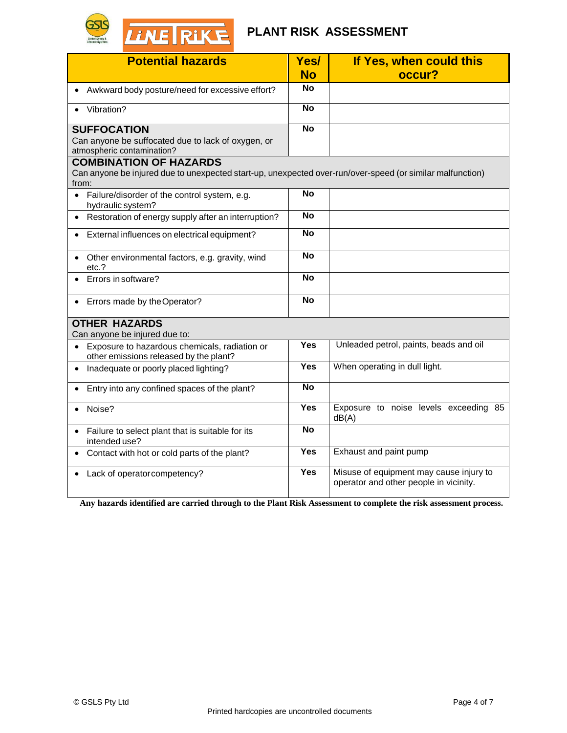

## **PLANT RISK ASSESSMENT**

| <b>Potential hazards</b>                                                                                           | Yes/<br><b>No</b> | If Yes, when could this<br>occur?                                                 |
|--------------------------------------------------------------------------------------------------------------------|-------------------|-----------------------------------------------------------------------------------|
| • Awkward body posture/need for excessive effort?                                                                  | <b>No</b>         |                                                                                   |
|                                                                                                                    |                   |                                                                                   |
| Vibration?                                                                                                         | $\overline{N}$    |                                                                                   |
| <b>SUFFOCATION</b>                                                                                                 | <b>No</b>         |                                                                                   |
| Can anyone be suffocated due to lack of oxygen, or                                                                 |                   |                                                                                   |
| atmospheric contamination?<br><b>COMBINATION OF HAZARDS</b>                                                        |                   |                                                                                   |
| Can anyone be injured due to unexpected start-up, unexpected over-run/over-speed (or similar malfunction)<br>from: |                   |                                                                                   |
| Failure/disorder of the control system, e.g.<br>hydraulic system?                                                  | <b>No</b>         |                                                                                   |
| • Restoration of energy supply after an interruption?                                                              | <b>No</b>         |                                                                                   |
| • External influences on electrical equipment?                                                                     | <b>No</b>         |                                                                                   |
| • Other environmental factors, e.g. gravity, wind<br>etc.?                                                         | <b>No</b>         |                                                                                   |
| Errors in software?                                                                                                | <b>No</b>         |                                                                                   |
| Errors made by the Operator?<br>$\bullet$                                                                          | <b>No</b>         |                                                                                   |
| <b>OTHER HAZARDS</b><br>Can anyone be injured due to:                                                              |                   |                                                                                   |
| Exposure to hazardous chemicals, radiation or<br>$\bullet$<br>other emissions released by the plant?               | <b>Yes</b>        | Unleaded petrol, paints, beads and oil                                            |
| Inadequate or poorly placed lighting?<br>$\bullet$                                                                 | <b>Yes</b>        | When operating in dull light.                                                     |
| Entry into any confined spaces of the plant?<br>$\bullet$                                                          | <b>No</b>         |                                                                                   |
| Noise?<br>$\bullet$                                                                                                | <b>Yes</b>        | Exposure to noise levels exceeding 85<br>dB(A)                                    |
| Failure to select plant that is suitable for its<br>intended use?                                                  | <b>No</b>         |                                                                                   |
| Contact with hot or cold parts of the plant?                                                                       | <b>Yes</b>        | Exhaust and paint pump                                                            |
| Lack of operator competency?                                                                                       | Yes               | Misuse of equipment may cause injury to<br>operator and other people in vicinity. |

**Any hazards identified are carried through to the Plant Risk Assessment to complete the risk assessment process.**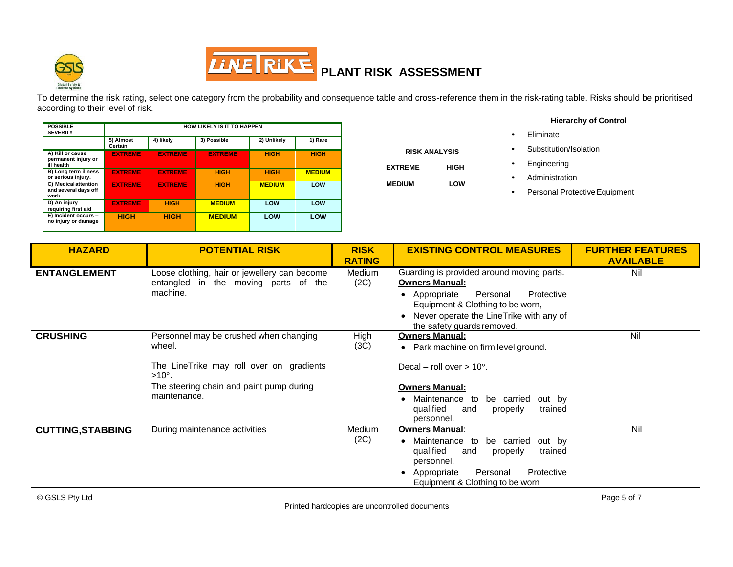



To determine the risk rating, select one category from the probability and consequence table and cross-reference them in the risk-rating table. Risks should be prioritised according to their level of risk.

> **RISK ANALYSIS EXTREME HIGH MEDIUM LOW**

| <b>POSSIBLE</b><br><b>SEVERITY</b>                    | <b>HOW LIKELY IS IT TO HAPPEN</b> |                |                |               |               |
|-------------------------------------------------------|-----------------------------------|----------------|----------------|---------------|---------------|
|                                                       | 5) Almost<br>Certain              | 4) likely      | 3) Possible    | 2) Unlikely   | 1) Rare       |
| A) Kill or cause<br>permanent injury or<br>ill health | <b>EXTREME</b>                    | <b>EXTREME</b> | <b>EXTREME</b> | <b>HIGH</b>   | <b>HIGH</b>   |
| B) Long term illness<br>or serious injury.            | <b>EXTREME</b>                    | <b>EXTREME</b> | <b>HIGH</b>    | <b>HIGH</b>   | <b>MEDIUM</b> |
| C) Medical attention<br>and several days off<br>work  | <b>EXTREME</b>                    | <b>EXTREME</b> | <b>HIGH</b>    | <b>MEDIUM</b> | LOW           |
| D) An injury<br>requiring first aid                   | <b>EXTREME</b>                    | <b>HIGH</b>    | <b>MEDIUM</b>  | LOW           | LOW           |
| E) Incident occurs -<br>no injury or damage           | <b>HIGH</b>                       | <b>HIGH</b>    | <b>MEDIUM</b>  | LOW           | LOW           |

**Hierarchy of Control**

- Eliminate
- Substitution/Isolation
- **Engineering**
- **Administration**
- Personal Protective Equipment

| <b>HAZARD</b>            | <b>POTENTIAL RISK</b>                                     | <b>RISK</b>   | <b>EXISTING CONTROL MEASURES</b>                    | <b>FURTHER FEATURES</b> |
|--------------------------|-----------------------------------------------------------|---------------|-----------------------------------------------------|-------------------------|
|                          |                                                           | <b>RATING</b> |                                                     | <b>AVAILABLE</b>        |
| <b>ENTANGLEMENT</b>      | Loose clothing, hair or jewellery can become              | <b>Medium</b> | Guarding is provided around moving parts.           | Nil                     |
|                          | entangled in the moving parts of the                      | (2C)          | <b>Owners Manual:</b>                               |                         |
|                          | machine.                                                  |               | Protective<br>• Appropriate<br>Personal             |                         |
|                          |                                                           |               | Equipment & Clothing to be worn,                    |                         |
|                          |                                                           |               | • Never operate the LineTrike with any of           |                         |
|                          |                                                           |               | the safety quards removed.                          |                         |
| <b>CRUSHING</b>          | Personnel may be crushed when changing                    | High          | <b>Owners Manual:</b>                               | Nil                     |
|                          | wheel.                                                    | (3C)          | • Park machine on firm level ground.                |                         |
|                          |                                                           |               |                                                     |                         |
|                          | The LineTrike may roll over on gradients<br>$>10^\circ$ . |               | Decal – roll over $> 10^{\circ}$ .                  |                         |
|                          | The steering chain and paint pump during                  |               | <b>Owners Manual:</b>                               |                         |
|                          | maintenance.                                              |               | Maintenance to<br>be carried<br>out by              |                         |
|                          |                                                           |               | qualified<br>trained<br>and<br>properly             |                         |
|                          |                                                           |               | personnel.                                          |                         |
| <b>CUTTING, STABBING</b> | During maintenance activities                             | <b>Medium</b> | <b>Owners Manual:</b>                               | Nil                     |
|                          |                                                           | (2C)          | be carried<br>Maintenance to<br>out by<br>$\bullet$ |                         |
|                          |                                                           |               | qualified<br>trained<br>properly<br>and             |                         |
|                          |                                                           |               | personnel.                                          |                         |
|                          |                                                           |               | Protective<br>Personal<br>Appropriate<br>$\bullet$  |                         |
|                          |                                                           |               | Equipment & Clothing to be worn                     |                         |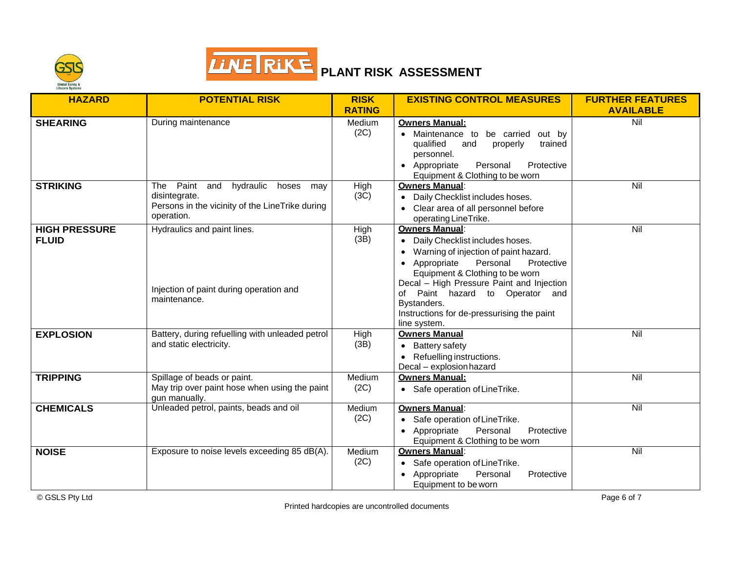



| <b>HAZARD</b>                        | <b>POTENTIAL RISK</b>                                                                                                                  | <b>RISK</b><br><b>RATING</b> | <b>EXISTING CONTROL MEASURES</b>                                                                                                                                                                                                                                                                                                           | <b>FURTHER FEATURES</b><br><b>AVAILABLE</b> |
|--------------------------------------|----------------------------------------------------------------------------------------------------------------------------------------|------------------------------|--------------------------------------------------------------------------------------------------------------------------------------------------------------------------------------------------------------------------------------------------------------------------------------------------------------------------------------------|---------------------------------------------|
| <b>SHEARING</b>                      | During maintenance                                                                                                                     | Medium<br>(2C)               | <b>Owners Manual:</b><br>Maintenance to<br>be carried<br>out by<br>qualified<br>and<br>trained<br>properly<br>personnel.<br>Appropriate<br>Personal<br>Protective<br>Equipment & Clothing to be worn                                                                                                                                       | Nil                                         |
| <b>STRIKING</b>                      | Paint<br>hydraulic hoses<br><b>The</b><br>and<br>may<br>disintegrate.<br>Persons in the vicinity of the LineTrike during<br>operation. | High<br>(3C)                 | <b>Owners Manual:</b><br>Daily Checklist includes hoses.<br>$\bullet$<br>Clear area of all personnel before<br>operating LineTrike.                                                                                                                                                                                                        | Nil                                         |
| <b>HIGH PRESSURE</b><br><b>FLUID</b> | Hydraulics and paint lines.<br>Injection of paint during operation and<br>maintenance.                                                 | High<br>(3B)                 | <b>Owners Manual:</b><br>Daily Checklist includes hoses.<br>Warning of injection of paint hazard.<br>Personal<br>Appropriate<br>Protective<br>Equipment & Clothing to be worn<br>Decal - High Pressure Paint and Injection<br>of Paint hazard to Operator and<br>Bystanders.<br>Instructions for de-pressurising the paint<br>line system. | Nil                                         |
| <b>EXPLOSION</b>                     | Battery, during refuelling with unleaded petrol<br>and static electricity.                                                             | High<br>(3B)                 | <b>Owners Manual</b><br>Battery safety<br>Refuelling instructions.<br>Decal - explosion hazard                                                                                                                                                                                                                                             | $\overline{N}$                              |
| <b>TRIPPING</b>                      | Spillage of beads or paint.<br>May trip over paint hose when using the paint<br>gun manually.                                          | Medium<br>(2C)               | <b>Owners Manual:</b><br>Safe operation of Line Trike.                                                                                                                                                                                                                                                                                     | Nil                                         |
| <b>CHEMICALS</b>                     | Unleaded petrol, paints, beads and oil                                                                                                 | Medium<br>(2C)               | <b>Owners Manual:</b><br>Safe operation of LineTrike.<br>Personal<br>Protective<br>Appropriate<br>$\bullet$<br>Equipment & Clothing to be worn                                                                                                                                                                                             | Nil                                         |
| <b>NOISE</b>                         | Exposure to noise levels exceeding 85 dB(A).                                                                                           | Medium<br>(2C)               | <b>Owners Manual:</b><br>Safe operation of Line Trike.<br>Appropriate<br>Personal<br>Protective<br>Equipment to be worn                                                                                                                                                                                                                    | Nil                                         |